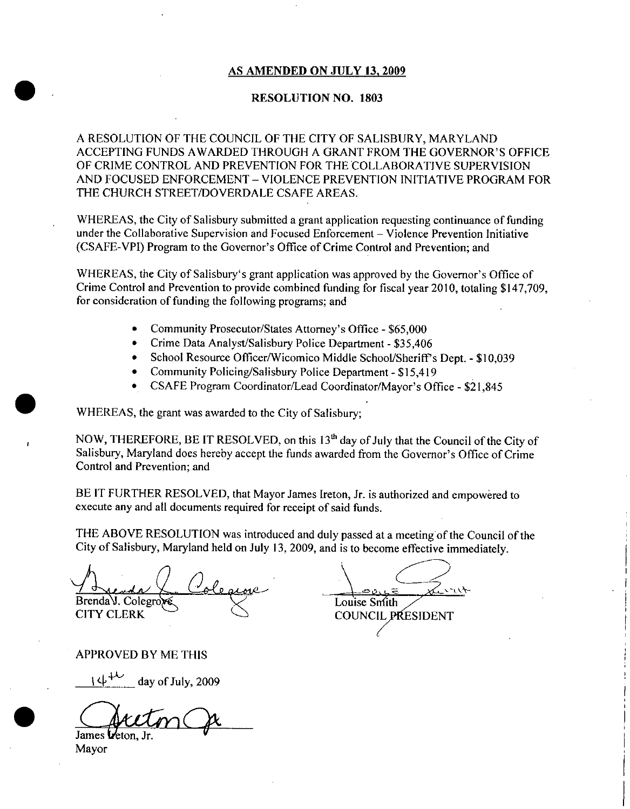## AS AMENDED ON JULY 13, 2009

### RESOLUTION NO. 1803

A RESOLUTION OF THE COUNCIL OF THE CITY OF SALISBURY, MARYLAND AS AMENDED ON JULY 13, 2009<br>RESOLUTION NO. 1803<br>A RESOLUTION OF THE COUNCIL OF THE CITY OF SALISBURY, MARYLAND<br>ACCEPTING FUNDS AWARDED THROUGH A GRANT FROM THE GOVERNOR'S OFFICE<br>OF CRIME CONTROL AND PREVENTION FOR THE COLL OF CRIME CONTROL AND PREVENTION FOR THE COLLABORATIVE SUPERVISION AND FOCUSED ENFORCEMENT – VIOLENCE PREVENTION INITIATIVE PROGRAM FOR<br>THE CHURCH STREET/DOVERDALE CSAFE AREAS.

WHEREAS, the City of Salisbury submitted a grant application requesting continuance of funding under the Collaborative Supervision and Focused Enforcement – Violence Prevention Initiative (CSAFE-VPI) Program to the Governor's Office of Crime Control and Prevention; and AND FOCUSED ENFORCEMENT – VIOLENCE PREVENTION INITIATIVE PRO<br>THE CHURCH STREET/DOVERDALE CSAFE AREAS.<br>WHEREAS, the City of Salisbury submitted a grant application requesting continuance<br>under the Collaborative Supervision WHEREAS, the City of Salisbury submitted a grant application requesting continuance of fundir<br>under the Collaborative Supervision and Focused Enforcement – Violence Prevention Initiative<br>(CSAFE-VPI) Program to the Governor

Crime Control and Prevention to provide combined funding for fiscal year 2010, totaling \$147,709, for consideration of funding the following programs; and WHEREAS, the City of Salisbury's grant application was approved by the Governor's Office of Program to the Governor's Office of Crime Control and P<br>e City of Salisbury's grant application was approved by th<br>and Prevention to provide combined funding for fiscal year<br>on of funding the following programs; and<br>Commun

- Community Prosecutor/States Attorney's Office \$65,000
- $\bullet$ Crime Data Analyst/Salisbury Police Department - \$35,406
- Crime Data Analyst/Salisbury Police Department \$35,406<br>School Resource Officer/Wicomico Middle School/Sheriff's Dept. \$10,039<br>Community Delisius (Salish Delis Delis De School Resource Officer/Wicomico Middle School/Sheriff's<br>Community Policing/Salisbury Police Department - \$15,419
- $\bullet$
- Community Policing/Salisbury Police Department \$15,419<br>CSAFE Program Coordinator/Lead Coordinator/Mayor's Office \$21,845

WHEREAS, the grant was awarded to the City of Salisbury;

NOW, THEREFORE, BE IT RESOLVED, on this  $13<sup>th</sup>$  day of July that the Council of the City of SALISBURY MARYLAND CONSTRIBUTE: WHEREAS, the grant was awarded to the City of Salisbury;<br>NOW, THEREFORE, BE IT RESOLVED, on this  $13<sup>th</sup>$  day of July that the Council of the City of Salisbury, Maryland does hereby acce Control and Prevention; and

BE IT FURTHER RESOLVED, that Mayor James Ireton, Jr. is authorized and empowered to execute any and all documents required for receipt of said funds

THE ABOVE RESOLUTION was introduced and duly passed at a meeting of the Council of the City of Salisbury, Maryland held on July 13, 2009, and is to become effective immediately.

 $\overline{1}$ r Brenda V. Colegro CITY CLERK COUNCIL PRESIDENT

a Louise Smith

APPROVED BY ME THIS

day of July, 2009

James *Veton*, Jr

Mayor